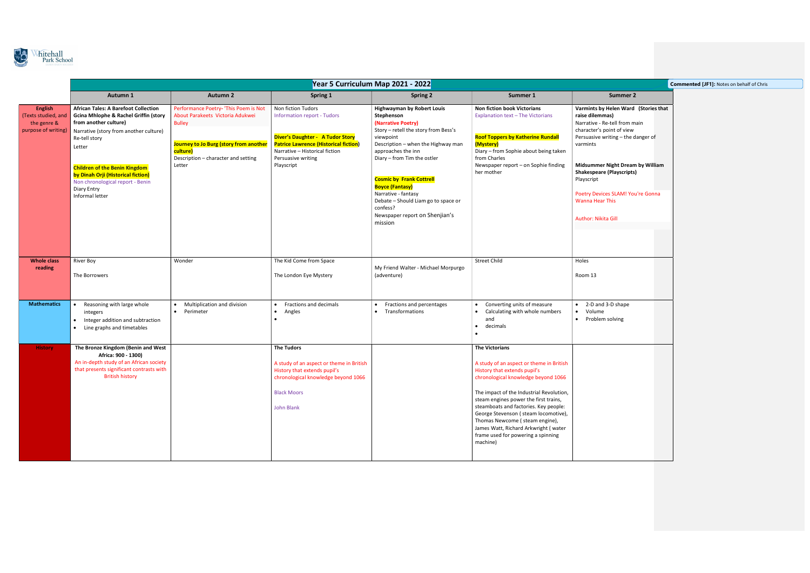

|                                                                             |                                                                                                                                                                                                                                                                                                                                                   |                                                                                                                                                                                                   |                                                                                                                                                                                                                    | Year 5 Curriculum Map 2021 - 2022                                                                                                                                                                                                                                                                                                                                                                         |                                                                                                                                                                                                                                                                                                                                                                                                                                            |                                                                                                                                                                                                                                                                                                                               |
|-----------------------------------------------------------------------------|---------------------------------------------------------------------------------------------------------------------------------------------------------------------------------------------------------------------------------------------------------------------------------------------------------------------------------------------------|---------------------------------------------------------------------------------------------------------------------------------------------------------------------------------------------------|--------------------------------------------------------------------------------------------------------------------------------------------------------------------------------------------------------------------|-----------------------------------------------------------------------------------------------------------------------------------------------------------------------------------------------------------------------------------------------------------------------------------------------------------------------------------------------------------------------------------------------------------|--------------------------------------------------------------------------------------------------------------------------------------------------------------------------------------------------------------------------------------------------------------------------------------------------------------------------------------------------------------------------------------------------------------------------------------------|-------------------------------------------------------------------------------------------------------------------------------------------------------------------------------------------------------------------------------------------------------------------------------------------------------------------------------|
|                                                                             | Autumn 1                                                                                                                                                                                                                                                                                                                                          | <b>Autumn 2</b>                                                                                                                                                                                   | Spring 1                                                                                                                                                                                                           | <b>Spring 2</b>                                                                                                                                                                                                                                                                                                                                                                                           | Summer 1                                                                                                                                                                                                                                                                                                                                                                                                                                   | Summer 2                                                                                                                                                                                                                                                                                                                      |
| <b>English</b><br>(Texts studied, and<br>the genre &<br>purpose of writing) | <b>African Tales: A Barefoot Collection</b><br><b>Gcina Mhlophe &amp; Rachel Griffin (story</b><br>from another culture)<br>Narrative (story from another culture)<br>Re-tell story<br>Letter<br><b>Children of the Benin Kingdom</b><br>by Dinah Orji (Historical fiction)<br>Non chronological report - Benin<br>Diary Entry<br>Informal letter | Performance Poetry- 'This Poem is Not<br>About Parakeets Victoria Adukwei<br><b>Bulley</b><br>Journey to Jo Burg (story from another<br>culture)<br>Description - character and setting<br>Letter | Non fiction Tudors<br>Information report - Tudors<br><b>Diver's Daughter - A Tudor Story</b><br><b>Patrice Lawrence (Historical fiction)</b><br>Narrative - Historical fiction<br>Persuasive writing<br>Playscript | <b>Highwayman by Robert Louis</b><br>Stephenson<br>(Narrative Poetry)<br>Story - retell the story from Bess's<br>viewpoint<br>Description - when the Highway man<br>approaches the inn<br>Diary - from Tim the ostler<br><b>Cosmic by Frank Cottrell</b><br><b>Boyce (Fantasy)</b><br>Narrative - fantasy<br>Debate - Should Liam go to space or<br>confess?<br>Newspaper report on Shenjian's<br>mission | Non fiction book Victorians<br>Explanation text - The Victorians<br><b>Roof Toppers by Katherine Rundall</b><br>(Mystery)<br>Diary - from Sophie about being taken<br>from Charles<br>Newspaper report - on Sophie finding<br>her mother                                                                                                                                                                                                   | Varmints by Helen Ward (St<br>raise dilemmas)<br>Narrative - Re-tell from main<br>character's point of view<br>Persuasive writing - the dang<br>varmints<br><b>Midsummer Night Dream by</b><br><b>Shakespeare (Playscripts)</b><br>Playscript<br>Poetry Devices SLAM! You're<br><b>Wanna Hear This</b><br>Author: Nikita Gill |
| <b>Whole class</b><br>reading                                               | <b>River Boy</b><br>The Borrowers                                                                                                                                                                                                                                                                                                                 | Wonder                                                                                                                                                                                            | The Kid Come from Space<br>The London Eye Mystery                                                                                                                                                                  | My Friend Walter - Michael Morpurgo<br>(adventure)                                                                                                                                                                                                                                                                                                                                                        | <b>Street Child</b>                                                                                                                                                                                                                                                                                                                                                                                                                        | Holes<br>Room 13                                                                                                                                                                                                                                                                                                              |
| <b>Mathematics</b>                                                          | Reasoning with large whole<br>integers<br>Integer addition and subtraction<br>$\bullet$<br>Line graphs and timetables<br>$\bullet$                                                                                                                                                                                                                | Multiplication and division<br>Perimeter<br>$\bullet$                                                                                                                                             | Fractions and decimals<br>Angles<br>$\bullet$                                                                                                                                                                      | Fractions and percentages<br>• Transformations                                                                                                                                                                                                                                                                                                                                                            | Converting units of measure<br>Calculating with whole numbers<br>$\bullet$<br>and<br>decimals<br>$\bullet$                                                                                                                                                                                                                                                                                                                                 | 2-D and 3-D shape<br>Volume<br>$\bullet$<br>Problem solving<br>$\bullet$                                                                                                                                                                                                                                                      |
| <b>History</b>                                                              | The Bronze Kingdom (Benin and West<br>Africa: 900 - 1300)<br>An in-depth study of an African society<br>that presents significant contrasts with<br><b>British history</b>                                                                                                                                                                        |                                                                                                                                                                                                   | <b>The Tudors</b><br>A study of an aspect or theme in British<br>History that extends pupil's<br>chronological knowledge beyond 1066<br><b>Black Moors</b><br>John Blank                                           |                                                                                                                                                                                                                                                                                                                                                                                                           | <b>The Victorians</b><br>A study of an aspect or theme in British<br>History that extends pupil's<br>chronological knowledge beyond 1066<br>The impact of the Industrial Revolution,<br>steam engines power the first trains,<br>steamboats and factories. Key people:<br>George Stevenson (steam locomotive),<br>Thomas Newcome (steam engine),<br>James Watt, Richard Arkwright (water<br>frame used for powering a spinning<br>machine) |                                                                                                                                                                                                                                                                                                                               |

|                                                                                                                                                                         | <b>Commented [JF1]: Notes on behalf of Chris</b> |
|-------------------------------------------------------------------------------------------------------------------------------------------------------------------------|--------------------------------------------------|
| <b>Summer 2</b>                                                                                                                                                         |                                                  |
| Varmints by Helen Ward (Stories that<br>raise dilemmas)<br>Narrative - Re-tell from main<br>character's point of view<br>Persuasive writing - the danger of<br>varmints |                                                  |
| Midsummer Night Dream by William<br><b>Shakespeare (Playscripts)</b><br>Playscript                                                                                      |                                                  |
| Poetry Devices SLAM! You're Gonna<br><b>Wanna Hear This</b>                                                                                                             |                                                  |
| Author: Nikita Gill                                                                                                                                                     |                                                  |
| Holes                                                                                                                                                                   |                                                  |
|                                                                                                                                                                         |                                                  |
| Room 13                                                                                                                                                                 |                                                  |
| 2-D and 3-D shape<br>$\bullet$<br>Volume<br>$\bullet$<br>Problem solving<br>٠                                                                                           |                                                  |
|                                                                                                                                                                         |                                                  |
|                                                                                                                                                                         |                                                  |
|                                                                                                                                                                         |                                                  |
|                                                                                                                                                                         |                                                  |
|                                                                                                                                                                         |                                                  |
|                                                                                                                                                                         |                                                  |
|                                                                                                                                                                         |                                                  |
|                                                                                                                                                                         |                                                  |